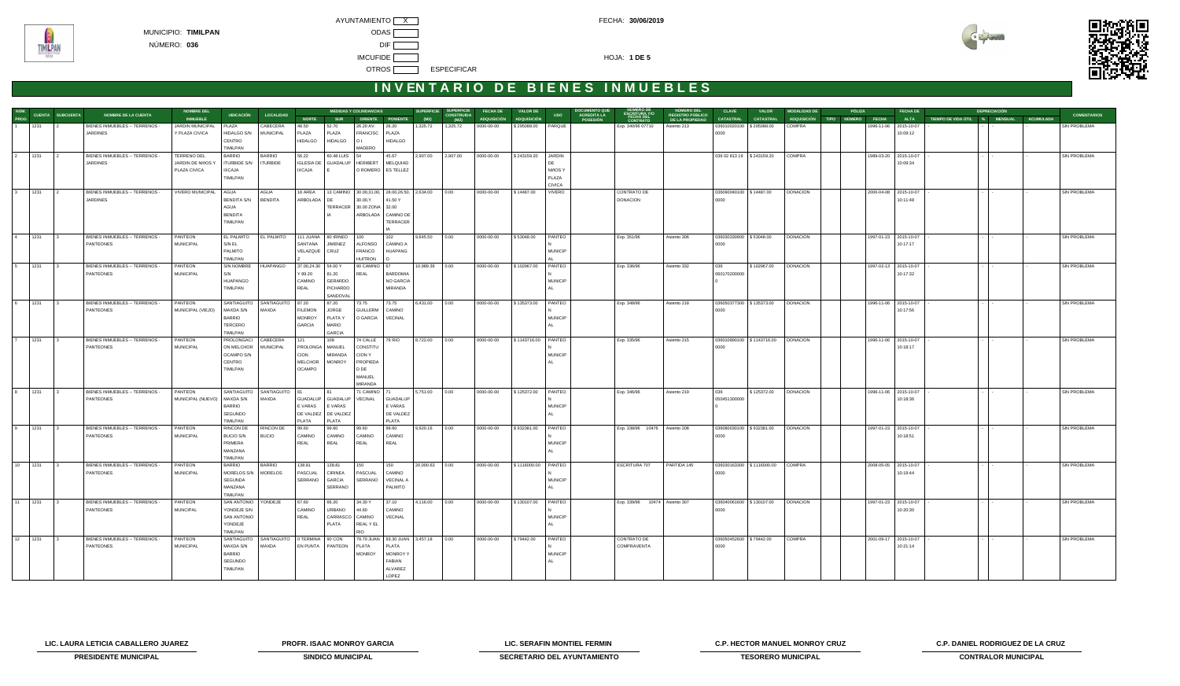**TIMILPAN** 



## **INVENTARIO DE BIENES INMUEBLES**

|                         |                                                                     |                  |                                | <b>NOMBRE DEL</b>       | <b>MEDIDAS Y COLINDANCIAS</b><br><b>UBICACIÓN</b><br>LOCALIDAD |                  |                                 |                       |                         | <b>SUPERFICIE</b><br><b>SUPERFICIE</b><br><b>FECHA DE</b><br><b>VALOR DE</b> |           |                           |             | <b>DOCUMENTO QUE</b><br><b>NUMERO DEL</b><br>NUMERO DE<br>ESCRITURA Y/O<br><b>ACREDITA LA</b><br><b>REGISTRO PÚBLICO</b> |                        |                 | <b>CLAVE</b><br><b>VALOR</b>  |                 | <b>MODALIDAD DE</b>         | PÓLIZA                             |                         |  | <b>FECHA DE</b> |                       | <b>DEPRECIACIÓN</b>   |                               |  |                  |                     |
|-------------------------|---------------------------------------------------------------------|------------------|--------------------------------|-------------------------|----------------------------------------------------------------|------------------|---------------------------------|-----------------------|-------------------------|------------------------------------------------------------------------------|-----------|---------------------------|-------------|--------------------------------------------------------------------------------------------------------------------------|------------------------|-----------------|-------------------------------|-----------------|-----------------------------|------------------------------------|-------------------------|--|-----------------|-----------------------|-----------------------|-------------------------------|--|------------------|---------------------|
| NÚM.<br>PROG            |                                                                     | CUENTA SUBCUENTA | <b>NOMBRE DE LA CUENTA</b>     | <b>INMUEBLE</b>         |                                                                |                  | <b>NORTE</b>                    | <b>SUR</b>            |                         | <b>ORIENTE PONIENTE</b>                                                      | (M2)      | <b>CONSTRUIDA</b><br>(M2) | ADQUISICIÓN | <b>ADQUISICIÓN</b>                                                                                                       | <b>USO</b>             | <b>POSESIÓN</b> | <b>FECHA DEL</b><br>CONTRATO  | DE LA PROPIEDAD | <b>CATASTRAL</b>            | <b>CATASTRAL</b>                   | ADQUISICIÓN TIPO NÚMERO |  |                 | <b>FECHA</b>          | <b>ALTA</b>           | TIEMPO DE VIDA ÚTIL % MENSUAL |  | <b>ACUMULADA</b> | <b>COMENTARIOS</b>  |
|                         | 1231                                                                |                  | BIENES INMUEBLES -- TERRENOS - | JARDIN MUNICIPAL        | PLAZA                                                          | CABECERA         | 48.50                           | 52.70                 | 26.20 AV.               | 26.20                                                                        | 1,325.72  | 1,325.72                  | 0000-00-00  | \$295088.00                                                                                                              | PARQUE                 |                 | Exp. 340/96 07710             | Asiento 213     | 036010020100                | \$295088.00                        | COMPRA                  |  |                 |                       | 1996-11-06 2015-10-07 |                               |  |                  | SIN PROBLEMA        |
|                         |                                                                     |                  | JARDINES                       | Y PLAZA CIVICA          | <b>HIDALGO S/N</b>                                             | <b>MUNICIPAL</b> | PLAZA                           | PLAZA                 | <b>FRANCISC</b>         | PLAZA                                                                        |           |                           |             |                                                                                                                          |                        |                 |                               |                 | 0000                        |                                    |                         |  |                 |                       | 10:09:12              |                               |  |                  |                     |
|                         |                                                                     |                  |                                |                         | CENTRO                                                         |                  | <b>HIDALGO</b>                  | <b>HIDALGO</b>        | O L                     | <b>HIDALGO</b>                                                               |           |                           |             |                                                                                                                          |                        |                 |                               |                 |                             |                                    |                         |  |                 |                       |                       |                               |  |                  |                     |
|                         |                                                                     |                  |                                |                         | TIMILPAN                                                       |                  |                                 |                       | <b>MADERO</b>           |                                                                              |           |                           |             |                                                                                                                          |                        |                 |                               |                 |                             |                                    |                         |  |                 |                       |                       |                               |  |                  |                     |
| $\overline{2}$          | 1231                                                                |                  | BIENES INMUEBLES -- TERRENOS - | <b>TERRENO DEL</b>      | BARRIO                                                         | <b>BARRIO</b>    | 56.22                           | 60.48 LUIS            |                         | 45.67                                                                        | 2,907.00  | 2,907.00                  | 0000-00-00  | \$243159.20                                                                                                              | JARDIN                 |                 |                               |                 | 036 02 813 19   \$243159.20 |                                    | COMPRA                  |  |                 |                       | 1989-03-20 2015-10-07 |                               |  |                  | SIN PROBLEMA        |
|                         |                                                                     |                  | <b>JARDINES</b>                | JARDIN DE NIñOS Y       | <b>ITURBIDE S/N</b>                                            | <b>ITURBIDE</b>  | <b>IGLESIA DE</b>               | GUADALUP              | HERIBERT                | MELQUIAD                                                                     |           |                           |             |                                                                                                                          | DE                     |                 |                               |                 |                             |                                    |                         |  |                 |                       | 10:09:34              |                               |  |                  |                     |
|                         |                                                                     |                  |                                | PLAZA CIVICA            | <b>IXCAJA</b>                                                  |                  | <b>IXCAJA</b>                   |                       |                         | O ROMERO   ES TELLEZ                                                         |           |                           |             |                                                                                                                          | NIñOS Y                |                 |                               |                 |                             |                                    |                         |  |                 |                       |                       |                               |  |                  |                     |
|                         |                                                                     |                  |                                |                         | TIMILPAN                                                       |                  |                                 |                       |                         |                                                                              |           |                           |             |                                                                                                                          | PLAZA<br><b>CIVICA</b> |                 |                               |                 |                             |                                    |                         |  |                 |                       |                       |                               |  |                  |                     |
| $\overline{\mathbf{3}}$ | 1231                                                                | $\vert$ 2        | BIENES INMUEBLES -- TERRENOS - | <b>VIVERO MUNICIPAL</b> | AGUA                                                           | AGUA             | 18 AREA                         | 13 CAMINO             |                         | 30.00,31.00, 28.00,26.50, 2,634.00                                           |           | 0.00                      | 0000-00-00  | \$14487.00                                                                                                               | VIVERO                 |                 | <b>CONTRATO DE</b>            |                 | 036090040100 \$14487.00     |                                    | <b>DONACION</b>         |  |                 |                       | 2000-04-08 2015-10-07 |                               |  |                  | <b>SIN PROBLEMA</b> |
|                         |                                                                     |                  | JARDINES                       |                         | <b>BENDITA S/N</b>                                             | <b>BENDITA</b>   | ARBOLADA                        |                       | 30.00, Y                | 41.50 Y                                                                      |           |                           |             |                                                                                                                          |                        |                 | <b>DONACION</b>               |                 | 0000                        |                                    |                         |  |                 |                       | 10:11:48              |                               |  |                  |                     |
|                         |                                                                     |                  |                                |                         | AGUA                                                           |                  |                                 |                       | TERRACER 30.00 ZONA     | 32.00                                                                        |           |                           |             |                                                                                                                          |                        |                 |                               |                 |                             |                                    |                         |  |                 |                       |                       |                               |  |                  |                     |
|                         |                                                                     |                  |                                |                         | <b>BENDITA</b>                                                 |                  |                                 |                       | ARBOLADA                | <b>CAMINO DE</b>                                                             |           |                           |             |                                                                                                                          |                        |                 |                               |                 |                             |                                    |                         |  |                 |                       |                       |                               |  |                  |                     |
|                         |                                                                     |                  |                                |                         | TIMILPAN                                                       |                  |                                 |                       |                         | <b>TERRACER</b>                                                              |           |                           |             |                                                                                                                          |                        |                 |                               |                 |                             |                                    |                         |  |                 |                       |                       |                               |  |                  |                     |
|                         |                                                                     |                  |                                |                         |                                                                |                  |                                 |                       |                         |                                                                              |           |                           |             |                                                                                                                          |                        |                 |                               |                 |                             |                                    |                         |  |                 |                       |                       |                               |  |                  |                     |
| $\sqrt{4}$              | 1231                                                                |                  | BIENES INMUEBLES -- TERRENOS - | PANTEON                 | EL PALMITO                                                     | EL PALMITO       |                                 | 111 JUANA 80 IRINEO   | 100                     | 102                                                                          | 9,645.50  | 0.00                      | 0000-00-00  | \$53048.00                                                                                                               | PANTEO                 |                 | Exp. 351/96                   | Asiento 306     | 036030330900                | \$53048.00                         | <b>DONACION</b>         |  |                 | 1997-01-23 2015-10-07 |                       |                               |  |                  | <b>SIN PROBLEMA</b> |
|                         |                                                                     |                  | PANTEONES                      | <b>MUNICIPAL</b>        | S/N EL                                                         |                  | SANTANA                         | JIMENEZ               | <b>ALFONSO</b>          | CAMINO A                                                                     |           |                           |             |                                                                                                                          |                        |                 |                               |                 | 0000                        |                                    |                         |  |                 |                       | 10:17:17              |                               |  |                  |                     |
|                         |                                                                     |                  |                                |                         | PALMITO                                                        |                  | VELAZQUE                        | CRUZ                  | FRANCO                  | <b>HUAPANG</b>                                                               |           |                           |             |                                                                                                                          | <b>MUNICIP</b>         |                 |                               |                 |                             |                                    |                         |  |                 |                       |                       |                               |  |                  |                     |
|                         |                                                                     |                  |                                |                         | TIMILPAN                                                       |                  |                                 |                       | <b>HUITRON</b>          |                                                                              |           |                           |             |                                                                                                                          |                        |                 |                               |                 |                             |                                    |                         |  |                 |                       |                       |                               |  |                  |                     |
| 5                       | 1231                                                                |                  | BIENES INMUEBLES -- TERRENOS   | <b>PANTEON</b>          | <b>SIN NOMBRE</b>                                              | <b>HUAPANGO</b>  | 37.00,24.30                     | 54.00 Y               | 90 CAMINO               |                                                                              | 10,989.39 | 0.00                      | 0000-00-00  | \$102967.00                                                                                                              | PANTEO                 |                 | Exp. 336/96                   | Asiento 332     | 036                         | \$102967.00                        | <b>DONACION</b>         |  |                 |                       | 1997-02-13 2015-10-07 |                               |  |                  | <b>SIN PROBLEMA</b> |
|                         |                                                                     |                  | PANTEONES                      | <b>MUNICIPAL</b>        | S/N                                                            |                  | Y 89.20                         | 81.20                 | REAL                    | <b>BARDOMIA</b>                                                              |           |                           |             |                                                                                                                          |                        |                 |                               |                 | 060170200000                |                                    |                         |  |                 |                       | 10:17:32              |                               |  |                  |                     |
|                         |                                                                     |                  |                                |                         | <b>HUAPANGO</b>                                                |                  | CAMINO                          | GERARDO               |                         | NO GARCIA                                                                    |           |                           |             |                                                                                                                          | <b>MUNICIP</b>         |                 |                               |                 |                             |                                    |                         |  |                 |                       |                       |                               |  |                  |                     |
|                         |                                                                     |                  |                                |                         | TIMILPAN                                                       |                  | REAL                            | PICHARDO              |                         | MIRANDA                                                                      |           |                           |             |                                                                                                                          |                        |                 |                               |                 |                             |                                    |                         |  |                 |                       |                       |                               |  |                  |                     |
|                         |                                                                     |                  |                                |                         |                                                                |                  |                                 | SANDOVAL              |                         |                                                                              |           |                           |             |                                                                                                                          |                        |                 |                               |                 |                             |                                    |                         |  |                 |                       |                       |                               |  |                  |                     |
|                         | 6 1231                                                              | $\overline{3}$   | BIENES INMUEBLES -- TERRENOS - | PANTEON                 | SANTIAGUITO                                                    | SANTIAGUITO      | 87.20                           | 87.20<br><b>JORGE</b> | 73.75                   | 73.75                                                                        | 6,431.00  | 0.00                      | 0000-00-00  | \$135373.00                                                                                                              | PANTEO                 |                 | Exp. 348/96                   | Asiento 218     | 036050377300 \$135373.00    |                                    | <b>DONACION</b>         |  |                 |                       | 1996-11-06 2015-10-07 |                               |  |                  | <b>SIN PROBLEMA</b> |
|                         |                                                                     |                  | PANTEONES                      | MUNICIPAL (VIEJO)       | MAXDA S/N<br><b>BARRIO</b>                                     | MAXDA            | <b>FILEMON</b><br><b>MONROY</b> | PLATA Y               | <b>GUILLERM</b>         | CAMINO<br><b>VECINAL</b>                                                     |           |                           |             |                                                                                                                          | <b>MUNICIP</b>         |                 |                               |                 | 0000                        |                                    |                         |  |                 |                       | 10:17:56              |                               |  |                  |                     |
|                         |                                                                     |                  |                                |                         | TERCERO                                                        |                  | <b>GARCIA</b>                   | <b>MARIO</b>          | O GARCIA                |                                                                              |           |                           |             |                                                                                                                          |                        |                 |                               |                 |                             |                                    |                         |  |                 |                       |                       |                               |  |                  |                     |
|                         |                                                                     |                  |                                |                         | TIMILPAN                                                       |                  |                                 | <b>GARCIA</b>         |                         |                                                                              |           |                           |             |                                                                                                                          |                        |                 |                               |                 |                             |                                    |                         |  |                 |                       |                       |                               |  |                  |                     |
| $\overline{7}$          | 1231                                                                |                  | BIENES INMUEBLES -- TERRENOS - | PANTEON                 | PROLONGACI                                                     | CABECERA         | 121                             | 108                   | 74 CALLE                | 79 RIO                                                                       | 8,722.00  | 0.00                      | 0000-00-00  | \$1143716.00 PANTEO                                                                                                      |                        |                 | Exp. 335/96                   | Asiento 215     |                             | 036010890100 \$1143716.00 DONACION |                         |  |                 |                       | 1996-11-06 2015-10-07 |                               |  |                  | <b>SIN PROBLEMA</b> |
|                         |                                                                     |                  | PANTEONES                      | <b>MUNICIPAL</b>        | ON MELCHOR                                                     | <b>MUNICIPAL</b> | PROLONGA                        | MANUEL                | CONSTITU                |                                                                              |           |                           |             |                                                                                                                          |                        |                 |                               |                 | 0000                        |                                    |                         |  |                 |                       | 10:18:17              |                               |  |                  |                     |
|                         |                                                                     |                  |                                |                         | OCAMPO S/N                                                     |                  | <b>CION</b>                     | <b>MIRANDA</b>        | <b>CION Y</b>           |                                                                              |           |                           |             |                                                                                                                          | <b>MUNICIP</b>         |                 |                               |                 |                             |                                    |                         |  |                 |                       |                       |                               |  |                  |                     |
|                         |                                                                     |                  |                                |                         | CENTRO                                                         |                  | MELCHOR                         | <b>MONROY</b>         | PROPIEDA                |                                                                              |           |                           |             |                                                                                                                          |                        |                 |                               |                 |                             |                                    |                         |  |                 |                       |                       |                               |  |                  |                     |
|                         |                                                                     |                  |                                |                         | TIMILPAN                                                       |                  | <b>OCAMPO</b>                   |                       | D DE                    |                                                                              |           |                           |             |                                                                                                                          |                        |                 |                               |                 |                             |                                    |                         |  |                 |                       |                       |                               |  |                  |                     |
|                         |                                                                     |                  |                                |                         |                                                                |                  |                                 |                       | MANUEL                  |                                                                              |           |                           |             |                                                                                                                          |                        |                 |                               |                 |                             |                                    |                         |  |                 |                       |                       |                               |  |                  |                     |
|                         |                                                                     |                  |                                |                         |                                                                |                  |                                 |                       | <b>MIRANDA</b>          |                                                                              |           |                           |             |                                                                                                                          |                        |                 |                               |                 |                             |                                    |                         |  |                 |                       |                       |                               |  |                  |                     |
|                         | $\begin{array}{ c c c c }\n\hline\n8 & 1231 \\ \hline\n\end{array}$ | $\overline{3}$   | BIENES INMUEBLES -- TERRENOS - | PANTEON                 | SANTIAGUITO                                                    | SANTIAGUITO 81   |                                 |                       | 71 CAMINO 71            |                                                                              | 5,751.00  | 0.00                      | 0000-00-00  | \$125372.00                                                                                                              | PANTEO                 |                 | Exp. 346/96                   | Asiento 219     | 036                         | \$125372.00                        | <b>DONACION</b>         |  |                 |                       | 1996-11-06 2015-10-07 |                               |  |                  | <b>SIN PROBLEMA</b> |
|                         |                                                                     |                  | PANTEONES                      | MUNICIPAL (NUEVO)       | MAXDA S/N                                                      | MAXDA            |                                 | GUADALUP GUADALUP     | <b>VECINAL</b>          | <b>GUADALUF</b>                                                              |           |                           |             |                                                                                                                          |                        |                 |                               |                 | 050451300000                |                                    |                         |  |                 |                       | 10:18:36              |                               |  |                  |                     |
|                         |                                                                     |                  |                                |                         | <b>BARRIO</b>                                                  |                  | E VARAS                         | E VARAS               |                         | E VARAS                                                                      |           |                           |             |                                                                                                                          | <b>MUNICIP</b>         |                 |                               |                 |                             |                                    |                         |  |                 |                       |                       |                               |  |                  |                     |
|                         |                                                                     |                  |                                |                         | SEGUNDO<br>TIMILPAN                                            |                  | DE VALDEZ<br><b>PLATA</b>       | DE VALDEZ<br>PLATA    |                         | DE VALDEZ<br><b>PLATA</b>                                                    |           |                           |             |                                                                                                                          |                        |                 |                               |                 |                             |                                    |                         |  |                 |                       |                       |                               |  |                  |                     |
|                         | $9$ 1231                                                            | $\overline{3}$   | BIENES INMUEBLES -- TERRENOS - | PANTEON                 | RINCON DE                                                      | RINCON DE        | 99.60                           | 99.60                 | 99.60                   | 99.60                                                                        | 9,920.16  | 0.00                      | 0000-00-00  | \$932381.00                                                                                                              | PANTEO                 |                 | Exp. 338/96 10476 Asiento 208 |                 | 036080030100 \$932381.00    |                                    | <b>DONACION</b>         |  |                 |                       | 1997-01-23 2015-10-07 |                               |  |                  | <b>SIN PROBLEMA</b> |
|                         |                                                                     |                  | PANTEONES                      | <b>MUNICIPAL</b>        | <b>BUCIO S/N</b>                                               | <b>BUCIO</b>     | CAMINO                          | CAMINO                | CAMINO                  | CAMINO                                                                       |           |                           |             |                                                                                                                          |                        |                 |                               |                 | 0000                        |                                    |                         |  |                 |                       | 10:18:51              |                               |  |                  |                     |
|                         |                                                                     |                  |                                |                         | PRIMERA                                                        |                  | REAL                            | REAL                  | REAL                    | <b>REAL</b>                                                                  |           |                           |             |                                                                                                                          | <b>MUNICIP</b>         |                 |                               |                 |                             |                                    |                         |  |                 |                       |                       |                               |  |                  |                     |
|                         |                                                                     |                  |                                |                         | MANZANA                                                        |                  |                                 |                       |                         |                                                                              |           |                           |             |                                                                                                                          |                        |                 |                               |                 |                             |                                    |                         |  |                 |                       |                       |                               |  |                  |                     |
|                         |                                                                     |                  |                                |                         | TIMILPAN                                                       |                  |                                 |                       |                         |                                                                              |           |                           |             |                                                                                                                          |                        |                 |                               |                 |                             |                                    |                         |  |                 |                       |                       |                               |  |                  |                     |
|                         | 10 1231                                                             |                  | BIENES INMUEBLES -- TERRENOS - | PANTEON                 | BARRIO                                                         | <b>BARRIO</b>    | 138.81                          | 138.81                | 150                     | 150                                                                          | 20,000.63 | 0.00                      | 0000-00-00  | \$1116000.00                                                                                                             | PANTEO                 |                 | <b>ESCRITURA 707</b>          | PARTIDA 145     | 036030163300                | \$1116000.00                       | <b>COMPRA</b>           |  |                 | 2008-05-05 2015-10-07 |                       |                               |  |                  | <b>SIN PROBLEMA</b> |
|                         |                                                                     |                  | PANTEONES                      | <b>MUNICIPAL</b>        | MORELOS S/N                                                    | <b>MORELOS</b>   | PASCUAL                         | CIRINEA               | PASCUAL                 | CAMINO                                                                       |           |                           |             |                                                                                                                          |                        |                 |                               |                 | 0000                        |                                    |                         |  |                 |                       | 10:19:44              |                               |  |                  |                     |
|                         |                                                                     |                  |                                |                         | SEGUNDA                                                        |                  | SERRANO                         | <b>GARCIA</b>         | SERRANO                 | <b>VECINAL A</b>                                                             |           |                           |             |                                                                                                                          | <b>MUNICIP</b>         |                 |                               |                 |                             |                                    |                         |  |                 |                       |                       |                               |  |                  |                     |
|                         |                                                                     |                  |                                |                         | MANZANA                                                        |                  |                                 | SERRANO               |                         | PALMITO                                                                      |           |                           |             |                                                                                                                          |                        |                 |                               |                 |                             |                                    |                         |  |                 |                       |                       |                               |  |                  |                     |
|                         |                                                                     |                  |                                |                         | <b>IMILPAN</b>                                                 |                  |                                 |                       |                         |                                                                              |           |                           |             |                                                                                                                          |                        |                 |                               |                 |                             |                                    |                         |  |                 |                       |                       |                               |  |                  |                     |
| 11                      | 1231                                                                |                  | BIENES INMUEBLES -- TERRENOS - | PANTEON                 | SAN ANTONIO                                                    | YONDEJE          | 67.60                           | 66.20                 | 34.30 Y                 | 37.10                                                                        | 4,116.00  | 0.00                      | 0000-00-00  | \$130107.00                                                                                                              | PANTEO                 |                 | Exp. 339/96 10474 Asiento 307 |                 | 036040061600   \$130107.00  |                                    | <b>DONACION</b>         |  |                 | 1997-01-23 2015-10-07 |                       |                               |  |                  | SIN PROBLEMA        |
|                         |                                                                     |                  | <b>PANTEONES</b>               | <b>MUNCIPAL</b>         | YONDEJE S/N                                                    |                  | CAMINO                          | URBANO                | 44.60                   | CAMINO                                                                       |           |                           |             |                                                                                                                          |                        |                 |                               |                 | 0000                        |                                    |                         |  |                 |                       | 10:20:30              |                               |  |                  |                     |
|                         |                                                                     |                  |                                |                         | <b>SAN ANTONIO</b>                                             |                  | REAL                            | CARRASCO CAMINO       |                         | VECINAL                                                                      |           |                           |             |                                                                                                                          | <b>MUNICIP</b>         |                 |                               |                 |                             |                                    |                         |  |                 |                       |                       |                               |  |                  |                     |
|                         |                                                                     |                  |                                |                         | YONDEJE<br>TIMILPAN                                            |                  |                                 | PLATA                 | REAL Y EL<br><b>RIO</b> |                                                                              |           |                           |             |                                                                                                                          | AL                     |                 |                               |                 |                             |                                    |                         |  |                 |                       |                       |                               |  |                  |                     |
|                         | $12$ 1231                                                           |                  | BIENES INMUEBLES -- TERRENOS   | PANTEON                 | SANTIAGUITO                                                    | SANTIAGUITO      | 0 TERMINA 90 CON                |                       |                         | 79.70 JUAN 33.30 JUAN 3,457.18                                               |           | 0.00                      | 0000-00-00  | \$79442.00                                                                                                               | PANTEO                 |                 | CONTRATO DE                   |                 | 036050452600 \$79442.00     |                                    | COMPRA                  |  |                 | 2001-09-17 2015-10-07 |                       |                               |  |                  | SIN PROBLEMA        |
|                         |                                                                     |                  | PANTEONES                      | <b>MUNICIPAL</b>        | MAXDA S/N                                                      | MAXDA            |                                 | EN PUNTA PANTEON      | PLATA                   | PLATA                                                                        |           |                           |             |                                                                                                                          |                        |                 | COMPRAVENTA                   |                 | 0000                        |                                    |                         |  |                 |                       | 10:21:14              |                               |  |                  |                     |
|                         |                                                                     |                  |                                |                         | <b>BARRIO</b>                                                  |                  |                                 |                       | <b>MONROY</b>           | <b>MONROY Y</b>                                                              |           |                           |             |                                                                                                                          | <b>MUNICIP</b>         |                 |                               |                 |                             |                                    |                         |  |                 |                       |                       |                               |  |                  |                     |
|                         |                                                                     |                  |                                |                         | SEGUNDO                                                        |                  |                                 |                       |                         | FABIAN                                                                       |           |                           |             |                                                                                                                          | AI                     |                 |                               |                 |                             |                                    |                         |  |                 |                       |                       |                               |  |                  |                     |
|                         |                                                                     |                  |                                |                         | TIMILPAN                                                       |                  |                                 |                       |                         | ALVAREZ                                                                      |           |                           |             |                                                                                                                          |                        |                 |                               |                 |                             |                                    |                         |  |                 |                       |                       |                               |  |                  |                     |
|                         |                                                                     |                  |                                |                         |                                                                |                  |                                 |                       |                         | LOPEZ                                                                        |           |                           |             |                                                                                                                          |                        |                 |                               |                 |                             |                                    |                         |  |                 |                       |                       |                               |  |                  |                     |

**LIC. LAURA LETICIA CABALLERO JUAREZ PROFR. ISAAC MONROY GARCIA LIC. SERAFIN MONTIEL FERMIN C.P. HECTOR MANUEL MONROY CRUZ C.P. DANIEL RODRIGUEZ DE LA CRUZ** 



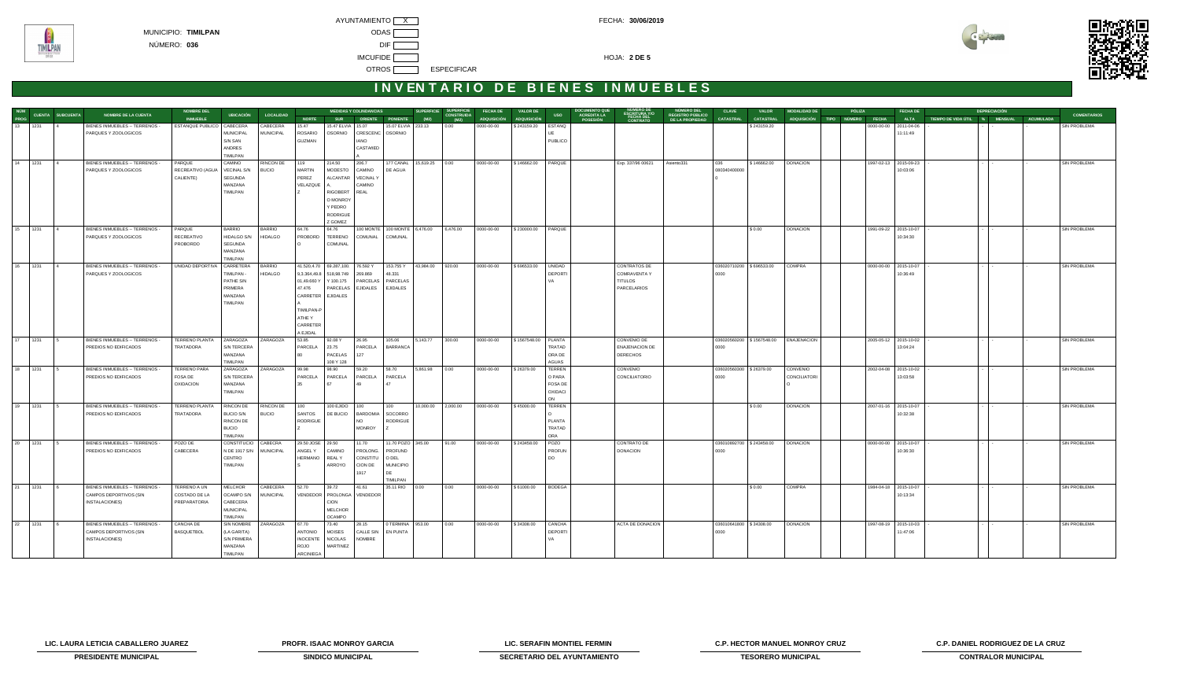MUNICIPIO: **TIMILPAN** ODAS [

**TIMILPAN** 



# **INVENTARIO DE BIENES INMUEBLES**

| NÚM<br>PROG CUENTA SUBCUENTA<br>13 1231 4 B | NOMBRE DE LA CUENTA            | <b>NOMBRE DEL</b>     | <b>UBICACIÓN</b>           | <b>LOCALIDAD</b> |                           |                                  | <b>MEDIDAS Y COLINDANCIAS</b>     |                                     |                          | SUPERFICIE SUPERFICIE<br>CONSTRUIDA | FECHA DE           | <b>VALOR DE</b>      | <b>USO</b>             | <b>DOCUMENTO QUE</b><br>NUMERO DE<br>ESCRITURA Y/O<br>FECHA DEL<br>CONTRATO<br><b>ACREDITA LA</b> | NÚMERO DEL<br>REGISTRO PÚBLICO | <b>CLAVE</b>            | VALOR                    | <b>MODALIDAD DE</b>                   | PÓLIZA                        |                       | <b>FECHA DE</b> |                               | <b>DEPRECIACIÓN</b> |                  | <b>COMENTARIOS</b>  |
|---------------------------------------------|--------------------------------|-----------------------|----------------------------|------------------|---------------------------|----------------------------------|-----------------------------------|-------------------------------------|--------------------------|-------------------------------------|--------------------|----------------------|------------------------|---------------------------------------------------------------------------------------------------|--------------------------------|-------------------------|--------------------------|---------------------------------------|-------------------------------|-----------------------|-----------------|-------------------------------|---------------------|------------------|---------------------|
|                                             |                                | <b>INMUEBLE</b>       |                            |                  | <b>NORTE</b>              | <b>SUR</b>                       |                                   | ORIENTE PONIENTE                    | (M2)                     | (M2)                                | <b>ADQUISICIÓN</b> | <b>ADQUISICIÓN</b>   |                        | POSESIÓN                                                                                          | <b>DE LA PROPIEDAD</b>         | CATASTRAL               | <b>CATASTRAL</b>         |                                       | ADQUISICIÓN TIPO NÚMERO FECHA |                       | <b>ALTA</b>     | TIEMPO DE VIDA ÚTIL % MENSUAL |                     | <b>ACUMULADA</b> |                     |
|                                             | BIENES INMUEBLES -- TERRENOS - | ESTANQUE PUBLICO      | CABECERA                   | CABECERA         | 15.47                     | 15.47 ELVIA 15.07                |                                   | 15.07 ELVIA 233.13                  |                          | 0.00                                | 0000-00-00         | \$243159.20          | ESTANQ                 |                                                                                                   |                                |                         | \$243159.20              |                                       |                               | 0000-00-00            | 2011-04-06      |                               |                     |                  | <b>SIN PROBLEMA</b> |
|                                             | PARQUES Y ZOOLOGICOS           |                       | MUNICIPAL<br>S/N SAN       | <b>MUNICIPAL</b> | <b>ROSARIO</b><br>GUZMAN  | OSORNIO                          | CRESCENC   OSORNIO<br><b>OIAN</b> |                                     |                          |                                     |                    |                      | PUBLICO                |                                                                                                   |                                |                         |                          |                                       |                               |                       | 11:11:49        |                               |                     |                  |                     |
|                                             |                                |                       | <b>ANDRES</b>              |                  |                           |                                  | CASTAñED                          |                                     |                          |                                     |                    |                      |                        |                                                                                                   |                                |                         |                          |                                       |                               |                       |                 |                               |                     |                  |                     |
|                                             |                                |                       | TIMILPAN                   |                  |                           |                                  |                                   |                                     |                          |                                     |                    |                      |                        |                                                                                                   |                                |                         |                          |                                       |                               |                       |                 |                               |                     |                  |                     |
| 14 1231                                     | BIENES INMUEBLES -- TERRENOS - | PARQUE                | CAMINO                     | RINCON DE        | 119                       | 214.50                           | 206.7                             |                                     | 177 CANAL 15,619.25 0.00 |                                     | 0000-00-00         | \$146662.00   PARQUE |                        | Exp. 337/96 00621                                                                                 | Asiento331                     | 036                     | \$146662.00              | <b>DONACION</b>                       |                               | 1997-02-13 2015-09-23 |                 |                               |                     |                  | SIN PROBLEMA        |
|                                             | PARQUES Y ZOOLOGICOS           | RECREATIVO (AGUA      | <b>VECINAL S/N</b>         | <b>BUCIO</b>     | MARTIN                    | MODESTO                          | CAMINO                            | DE AGUA                             |                          |                                     |                    |                      |                        |                                                                                                   |                                | 080340400000            |                          |                                       |                               |                       | 10:03:06        |                               |                     |                  |                     |
|                                             |                                | CALIENTE)             | SEGUNDA                    |                  | PEREZ                     | ALCANTAR VECINAL Y               |                                   |                                     |                          |                                     |                    |                      |                        |                                                                                                   |                                |                         |                          |                                       |                               |                       |                 |                               |                     |                  |                     |
|                                             |                                |                       | MANZANA                    |                  | VELAZQUE                  |                                  | CAMINO                            |                                     |                          |                                     |                    |                      |                        |                                                                                                   |                                |                         |                          |                                       |                               |                       |                 |                               |                     |                  |                     |
|                                             |                                |                       | TIMILPAN                   |                  |                           | RIGOBERT                         | REAL                              |                                     |                          |                                     |                    |                      |                        |                                                                                                   |                                |                         |                          |                                       |                               |                       |                 |                               |                     |                  |                     |
|                                             |                                |                       |                            |                  |                           | O MONROY<br>Y PEDRO              |                                   |                                     |                          |                                     |                    |                      |                        |                                                                                                   |                                |                         |                          |                                       |                               |                       |                 |                               |                     |                  |                     |
|                                             |                                |                       |                            |                  |                           | <b>RODRIGUE</b>                  |                                   |                                     |                          |                                     |                    |                      |                        |                                                                                                   |                                |                         |                          |                                       |                               |                       |                 |                               |                     |                  |                     |
|                                             |                                |                       |                            |                  |                           | Z GOMEZ                          |                                   |                                     |                          |                                     |                    |                      |                        |                                                                                                   |                                |                         |                          |                                       |                               |                       |                 |                               |                     |                  |                     |
| 15 1231                                     | BIENES INMUEBLES -- TERRENOS - | PARQUE                | <b>BARRIO</b>              | <b>BARRIO</b>    | 64.76                     | 64.76                            |                                   | 100 MONTE   100 MONTE 6,476.00      |                          | 6,476.00                            | 0000-00-00         | \$230000.00 PARQUE   |                        |                                                                                                   |                                |                         | \$0.00                   | <b>DONACION</b>                       |                               | 1991-09-22 2015-10-07 |                 |                               |                     |                  | <b>SIN PROBLEMA</b> |
|                                             | PARQUES Y ZOOLOGICOS           | RECREATIVO            | HIDALGO S/N                | <b>HIDALGO</b>   | PROBORD                   | TERRENO                          | COMUNAL                           | COMUNAL                             |                          |                                     |                    |                      |                        |                                                                                                   |                                |                         |                          |                                       |                               |                       | 10:34:30        |                               |                     |                  |                     |
|                                             |                                | PROBORDO              | SEGUNDA                    |                  |                           | COMUNAL                          |                                   |                                     |                          |                                     |                    |                      |                        |                                                                                                   |                                |                         |                          |                                       |                               |                       |                 |                               |                     |                  |                     |
|                                             |                                |                       | MANZANA<br>TIMILPAN        |                  |                           |                                  |                                   |                                     |                          |                                     |                    |                      |                        |                                                                                                   |                                |                         |                          |                                       |                               |                       |                 |                               |                     |                  |                     |
| 16 1231                                     | BIENES INMUEBLES -- TERRENOS - | UNIDAD DEPORTIVA      | CARRETERA                  | <b>BARRIO</b>    |                           | 41.520,4.70 69.287,100. 76.592 Y |                                   | 153.755 Y 43,984.00 920.00          |                          |                                     | 0000-00-00         | \$696533.00   UNIDAD |                        | CONTRATOS DE                                                                                      |                                |                         | 036020710200 \$696533.00 | COMPRA                                |                               | 0000-00-00 2015-10-07 |                 |                               |                     |                  | SIN PROBLEMA        |
|                                             | PARQUES Y ZOOLOGICOS           |                       | TIMILPAN -                 | <b>HIDALGO</b>   |                           | 9,3.364,49.8 518,98.749 269.869  |                                   | 48.331                              |                          |                                     |                    |                      | <b>DEPORTI</b>         | <b>COMRAVENTA Y</b>                                                                               |                                | 0000                    |                          |                                       |                               |                       | 10:36:49        |                               |                     |                  |                     |
|                                             |                                |                       | PATHE S/N                  |                  | 01,49.660 Y               | Y 100.175                        | PARCELAS                          | PARCELAS                            |                          |                                     |                    |                      |                        | <b>TITULOS</b>                                                                                    |                                |                         |                          |                                       |                               |                       |                 |                               |                     |                  |                     |
|                                             |                                |                       | PRIMERA                    |                  | 47.476                    |                                  | PARCELAS EJIDALES EJIDALES        |                                     |                          |                                     |                    |                      |                        | PARCELARIOS                                                                                       |                                |                         |                          |                                       |                               |                       |                 |                               |                     |                  |                     |
|                                             |                                |                       | MANZANA                    |                  | CARRETER EJIDALES         |                                  |                                   |                                     |                          |                                     |                    |                      |                        |                                                                                                   |                                |                         |                          |                                       |                               |                       |                 |                               |                     |                  |                     |
|                                             |                                |                       | TIMILPAN                   |                  |                           |                                  |                                   |                                     |                          |                                     |                    |                      |                        |                                                                                                   |                                |                         |                          |                                       |                               |                       |                 |                               |                     |                  |                     |
|                                             |                                |                       |                            |                  | TIMILPAN-P<br>ATHE Y      |                                  |                                   |                                     |                          |                                     |                    |                      |                        |                                                                                                   |                                |                         |                          |                                       |                               |                       |                 |                               |                     |                  |                     |
|                                             |                                |                       |                            |                  | CARRETER                  |                                  |                                   |                                     |                          |                                     |                    |                      |                        |                                                                                                   |                                |                         |                          |                                       |                               |                       |                 |                               |                     |                  |                     |
|                                             |                                |                       |                            |                  | A EJIDAL                  |                                  |                                   |                                     |                          |                                     |                    |                      |                        |                                                                                                   |                                |                         |                          |                                       |                               |                       |                 |                               |                     |                  |                     |
| 17 1231                                     | BIENES INMUEBLES -- TERRENOS - | <b>TERRENO PLANTA</b> | ZARAGOZA                   | ZARAGOZA         | 53.85                     | 92.08 Y                          | 26.95                             | 105.06                              | 5,143.77                 | 300.00                              | 0000-00-00         | \$1567548.00 PLANTA  |                        | CONVENIO DE                                                                                       |                                |                         |                          | 036020560200 \$1567548.00 ENAJENACION |                               | 2005-05-12 2015-10-02 |                 |                               |                     |                  | SIN PROBLEMA        |
|                                             | PREDIOS NO EDIFICADOS          | TRATADORA             | S/N TERCERA                |                  | PARCELA                   | 23.75                            | PARCELA                           | BARRANCA                            |                          |                                     |                    |                      | TRATAD                 | <b>ENAJENACION DE</b>                                                                             |                                | 0000                    |                          |                                       |                               |                       | 13:04:24        |                               |                     |                  |                     |
|                                             |                                |                       | MANZANA<br><b>TIMILPAN</b> |                  | 80.                       | PACELAS<br>108 Y 128             | 127                               |                                     |                          |                                     |                    |                      | ORA DE<br><b>AGUAS</b> | <b>DERECHOS</b>                                                                                   |                                |                         |                          |                                       |                               |                       |                 |                               |                     |                  |                     |
| 18 1231                                     | BIENES INMUEBLES -- TERRENOS - | <b>TERRENO PARA</b>   | ZARAGOZA                   | ZARAGOZA         | 99.98                     | 98.90                            | 59.20                             | 58.70                               | 5,861.98 0.00            |                                     | 0000-00-00         | \$26379.00           | <b>TERREN</b>          | CONVENIO                                                                                          |                                | 036020560300 \$26379.00 |                          | CONVENIO                              |                               | 2002-04-08 2015-10-02 |                 |                               |                     |                  | SIN PROBLEMA        |
|                                             | PREDIOS NO EDIFICADOS          | FOSA DE               | <b>S/N TERCERA</b>         |                  | PARCELA                   | PARCELA                          | PARCELA                           | PARCELA                             |                          |                                     |                    |                      | O PARA                 | CONCILIATORIO                                                                                     |                                | 0000                    |                          | <b>CONCILIATORI</b>                   |                               |                       | 13:03:58        |                               |                     |                  |                     |
|                                             |                                | <b>OXIDACION</b>      | MANZANA                    |                  | 35                        | 67                               | 49                                |                                     |                          |                                     |                    |                      | <b>FOSA DE</b>         |                                                                                                   |                                |                         |                          |                                       |                               |                       |                 |                               |                     |                  |                     |
|                                             |                                |                       | TIMILPAN                   |                  |                           |                                  |                                   |                                     |                          |                                     |                    |                      | OXIDACI                |                                                                                                   |                                |                         |                          |                                       |                               |                       |                 |                               |                     |                  |                     |
|                                             |                                |                       |                            |                  |                           |                                  |                                   |                                     |                          |                                     |                    |                      | <b>ON</b>              |                                                                                                   |                                |                         |                          |                                       |                               |                       |                 |                               |                     |                  |                     |
| 19 1231                                     | BIENES INMUEBLES -- TERRENOS - | TERRENO PLANTA        | RINCON DE                  | RINCON DE        | 100                       | 100 EJIDO                        | 100                               | 100                                 | 10,000.00 2,000.00       |                                     | 0000-00-00         | \$45000.00           | TERREN                 |                                                                                                   |                                |                         | \$0.00                   | <b>DONACION</b>                       |                               | 2007-01-16 2015-10-07 |                 |                               |                     |                  | SIN PROBLEMA        |
|                                             | PREDIOS NO EDIFICADOS          | TRATADORA             | BUCIO S/N<br>RINCON DE     | <b>BUCIO</b>     | <b>SANTOS</b><br>RODRIGUE | DE BUCIO                         | <b>NO</b>                         | BARDOMIA SOCORRO<br><b>RODRIGUE</b> |                          |                                     |                    |                      | <b>PLANTA</b>          |                                                                                                   |                                |                         |                          |                                       |                               |                       | 10:32:38        |                               |                     |                  |                     |
|                                             |                                |                       | <b>BUCIO</b>               |                  |                           |                                  | <b>MONROY</b>                     |                                     |                          |                                     |                    |                      | TRATAD                 |                                                                                                   |                                |                         |                          |                                       |                               |                       |                 |                               |                     |                  |                     |
|                                             |                                |                       | TIMILPAN                   |                  |                           |                                  |                                   |                                     |                          |                                     |                    |                      | ORA                    |                                                                                                   |                                |                         |                          |                                       |                               |                       |                 |                               |                     |                  |                     |
| 20 1231                                     | BIENES INMUEBLES -- TERRENOS - | POZO DE               | CONSTITUCIO                | CABECRA          | 29.50 JOSE 29.50          |                                  | 11.70                             | 11.70 POZO 345.00                   |                          | 91.00                               | 0000-00-00         | \$243458.00          | POZO                   | CONTRATO DE                                                                                       |                                |                         | 036010892700 \$243458.00 | <b>DONACION</b>                       |                               | 0000-00-00 2015-10-07 |                 |                               |                     |                  | SIN PROBLEMA        |
|                                             | PREDIOS NO EDIFICADOS          | CABECERA              | N DE 1917 S/N              | <b>MUNICIPAL</b> | ANGEL Y                   | CAMINO                           | PROLONG.                          | PROFUND                             |                          |                                     |                    |                      | PROFUN                 | <b>DONACION</b>                                                                                   |                                | 0000                    |                          |                                       |                               |                       | 10:36:30        |                               |                     |                  |                     |
|                                             |                                |                       | CENTRO<br>TIMILPAN         |                  | HERMANO                   | <b>REALY</b><br>ARROYO           | CONSTITU<br>CION DE               | O DEL<br><b>MUNICIPIO</b>           |                          |                                     |                    |                      | DO                     |                                                                                                   |                                |                         |                          |                                       |                               |                       |                 |                               |                     |                  |                     |
|                                             |                                |                       |                            |                  |                           |                                  | 1917                              | DE                                  |                          |                                     |                    |                      |                        |                                                                                                   |                                |                         |                          |                                       |                               |                       |                 |                               |                     |                  |                     |
|                                             |                                |                       |                            |                  |                           |                                  |                                   | TIMILPAN                            |                          |                                     |                    |                      |                        |                                                                                                   |                                |                         |                          |                                       |                               |                       |                 |                               |                     |                  |                     |
| 21 1231                                     | BIENES INMUEBLES -- TERRENOS - | TERRENO A UN          | MELCHOR                    | CABECERA         | 52.70                     | 39.72                            | 41.61                             | 35.11 RIO 0.00                      |                          | 0.00                                | 0000-00-00         | \$61000.00           | <b>BODEGA</b>          |                                                                                                   |                                |                         | \$0.00                   | COMPRA                                |                               | 1984-04-18 2015-10-07 |                 |                               |                     |                  | SIN PROBLEMA        |
|                                             | CAMPOS DEPORTIVOS (SIN         | COSTADO DE LA         | OCAMPO S/N                 | <b>MUNICIPAL</b> |                           | VENDEDOR PROLONGA VENDEDOR       |                                   |                                     |                          |                                     |                    |                      |                        |                                                                                                   |                                |                         |                          |                                       |                               |                       | 10:13:34        |                               |                     |                  |                     |
|                                             | INSTALACIONES)                 | PREPARATORIA          | CABECERA                   |                  |                           | CION                             |                                   |                                     |                          |                                     |                    |                      |                        |                                                                                                   |                                |                         |                          |                                       |                               |                       |                 |                               |                     |                  |                     |
|                                             |                                |                       | <b>MUNICIPAL</b>           |                  |                           | MELCHOR                          |                                   |                                     |                          |                                     |                    |                      |                        |                                                                                                   |                                |                         |                          |                                       |                               |                       |                 |                               |                     |                  |                     |
| 22 1231                                     | BIENES INMUEBLES -- TERRENOS - | CANCHA DE             | TIMILPAN<br>SIN NOMBRE     | ZARAGOZA         | 67.70                     | <b>OCAMPO</b><br>73.40           | 28.15                             | 0 TERMINA 953.00                    |                          | 0.00                                | 0000-00-00         | \$34308.00           | CANCHA                 | ACTA DE DONACION                                                                                  |                                | 036010641800 \$34308.00 |                          | <b>DONACION</b>                       |                               | 1997-08-19 2015-10-03 |                 |                               |                     |                  | SIN PROBLEMA        |
|                                             | CAMPOS DEPORTIVOS (SIN         | <b>BASQUETBOL</b>     | (LA GARITA)                |                  | <b>ANTONIO</b>            | <b>MOISES</b>                    | <b>CALLE SIN</b>                  | EN PUNTA                            |                          |                                     |                    |                      | <b>DEPORT</b>          |                                                                                                   |                                | 0000                    |                          |                                       |                               |                       | 11:47:06        |                               |                     |                  |                     |
|                                             | INSTALACIONES)                 |                       | <b>S/N PRIMERA</b>         |                  | <b>INOCENTE</b>           | <b>NICOLAS</b>                   | <b>NOMBRE</b>                     |                                     |                          |                                     |                    |                      | VA                     |                                                                                                   |                                |                         |                          |                                       |                               |                       |                 |                               |                     |                  |                     |
|                                             |                                |                       | MANZANA                    |                  | ROJO                      | MARTINEZ                         |                                   |                                     |                          |                                     |                    |                      |                        |                                                                                                   |                                |                         |                          |                                       |                               |                       |                 |                               |                     |                  |                     |
|                                             |                                |                       | TIMILPAN                   |                  | ARCINIEGA                 |                                  |                                   |                                     |                          |                                     |                    |                      |                        |                                                                                                   |                                |                         |                          |                                       |                               |                       |                 |                               |                     |                  |                     |

**LIC. LAURA LETICIA CABALLERO JUAREZ PROFR. ISAAC MONROY GARCIA LIC. SERAFIN MONTIEL FERMIN C.P. HECTOR MANUEL MONROY CRUZ C.P. DANIEL RODRIGUEZ DE LA CRUZ** 



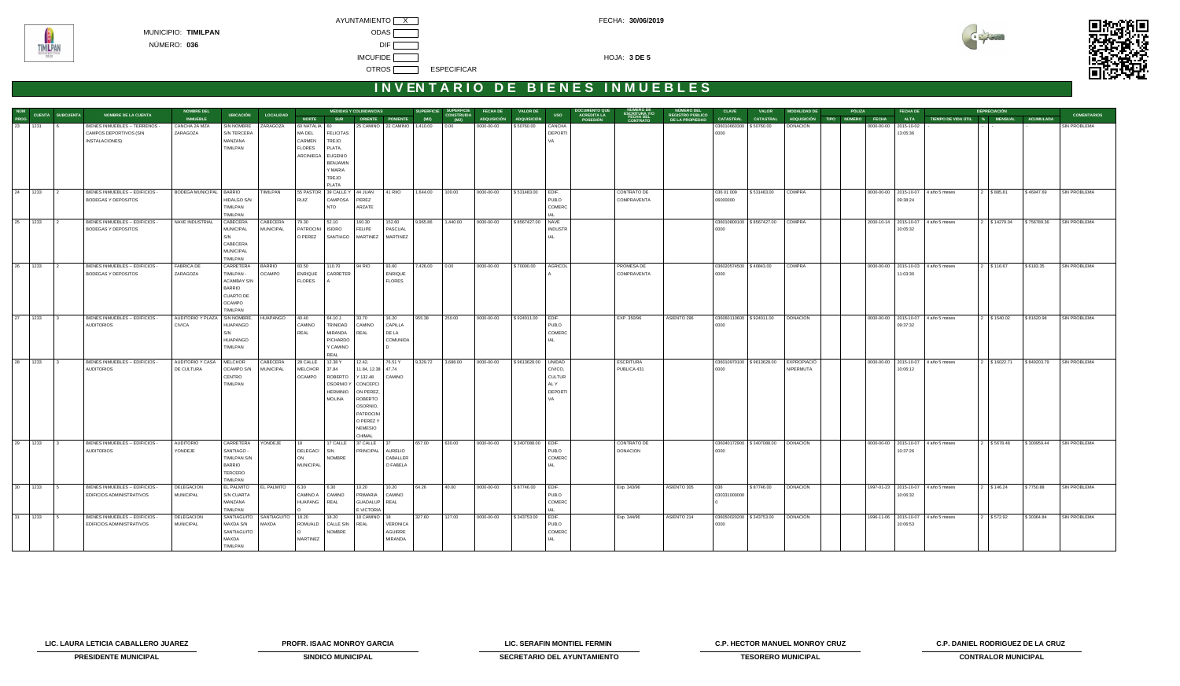

**TIMILPAN** 



# **INVENTARIO DE BIENES INMUEBLES**

| <b>CUENTA SUBCUENTA</b>                                            | <b>NOMBRE DE LA CUENTA</b>                                   | <b>NOMBRE DEL</b>                     | <b>UBICACIÓN</b>                     | <b>LOCALIDAD</b> |                            |                       | <b>MEDIDAS Y COLINDANCIAS</b>               |                                                  | <b>SUPERFICIE</b> | <b>SUPERFICIE</b><br>CONSTRUIDA | <b>FECHA DE</b>                  | <b>VALOR DE</b>                  | <b>USO</b>                   | DOCUMENTO QUI<br>ACREDITA LA | NUMERO DE<br>ESCRITURA Y/O<br>FECHA DEL<br>CONTRATO | NÚMERO DEL<br>REGISTRO PÚBLICO | <b>CLAVE</b>                                | <b>VALOR</b>              | <b>MODALIDAD DE</b> | PÓLIZA                        |            | FECHA DE                  |                                         | <b>DEPRECIACIÓN</b>      |                          | <b>COMENTARIOS</b>  |
|--------------------------------------------------------------------|--------------------------------------------------------------|---------------------------------------|--------------------------------------|------------------|----------------------------|-----------------------|---------------------------------------------|--------------------------------------------------|-------------------|---------------------------------|----------------------------------|----------------------------------|------------------------------|------------------------------|-----------------------------------------------------|--------------------------------|---------------------------------------------|---------------------------|---------------------|-------------------------------|------------|---------------------------|-----------------------------------------|--------------------------|--------------------------|---------------------|
| NÚM<br>PROG<br>23<br>1231                                          | BIENES INMUEBLES -- TERRENOS -                               | <b>INMUEBLE</b><br>CANCHA 2A MZA      | SIN NOMBRE                           | ZARAGOZA         | <b>NORTE</b><br>60 NATALIA | <b>SUR</b><br>60      |                                             | ORIENTE PONIENTE<br>25 CAMINO 22 CAMINO 1,410.00 | (M2)              | (M2)<br>$0.00 -$                | <b>ADQUISICIÓN</b><br>0000-00-00 | <b>ADQUISICIÓN</b><br>\$50760.00 | CANCHA                       | POSESIÓN                     |                                                     | DE LA PROPIEDAD                | <b>CATASTRAL</b><br>036010660300 \$50760.00 | <b>CATASTRAL</b>          | DONACION            | ADQUISICIÓN TIPO NÚMERO FECHA | 0000-00-00 | <b>ALTA</b><br>2015-10-02 | TIEMPO DE VIDA ÚTIL % MENSUAL ACUMULADA |                          |                          | SIN PROBLEMA        |
|                                                                    | CAMPOS DEPORTIVOS (SIN                                       | ZARAGOZA                              | S/N TERCERA                          |                  | MA DEL                     | <b>FELICITAS</b>      |                                             |                                                  |                   |                                 |                                  |                                  | <b>DEPORTI</b>               |                              |                                                     |                                | 0000                                        |                           |                     |                               |            | 13:05:36                  |                                         |                          |                          |                     |
|                                                                    | INSTALACIONES)                                               |                                       | MANZANA<br>TIMILPAN                  |                  | CARMEN<br><b>FLORES</b>    | TREJO                 |                                             |                                                  |                   |                                 |                                  |                                  | VA                           |                              |                                                     |                                |                                             |                           |                     |                               |            |                           |                                         |                          |                          |                     |
|                                                                    |                                                              |                                       |                                      |                  | ARCINIEGA EUGENIO          | PLATA,                |                                             |                                                  |                   |                                 |                                  |                                  |                              |                              |                                                     |                                |                                             |                           |                     |                               |            |                           |                                         |                          |                          |                     |
|                                                                    |                                                              |                                       |                                      |                  |                            | <b>BENJAMIN</b>       |                                             |                                                  |                   |                                 |                                  |                                  |                              |                              |                                                     |                                |                                             |                           |                     |                               |            |                           |                                         |                          |                          |                     |
|                                                                    |                                                              |                                       |                                      |                  |                            | Y MARIA<br>TREJO      |                                             |                                                  |                   |                                 |                                  |                                  |                              |                              |                                                     |                                |                                             |                           |                     |                               |            |                           |                                         |                          |                          |                     |
|                                                                    |                                                              |                                       |                                      |                  |                            | PLATA                 |                                             |                                                  |                   |                                 |                                  |                                  |                              |                              |                                                     |                                |                                             |                           |                     |                               |            |                           |                                         |                          |                          |                     |
| 24 1233                                                            | BIENES INMUEBLES -- EDIFICIOS -                              | BODEGA MUNICIPAL   BARRIO             |                                      | TIMILPAN         | 55 PASTOR                  | 39 CALLEY             | 44 JUAN                                     | 41 RIIO                                          | 1,644.00          | 100.00                          | 0000-00-00                       | \$531483.00                      | EDIF.                        |                              | CONTRATO DE                                         |                                | 036 01 009                                  | \$531483.00               | COMPRA              |                               |            |                           | 0000-00-00 2015-10-07 4 año 5 meses     | 2 \$885.81               | \$46947.69               | SIN PROBLEMA        |
|                                                                    | <b>BODEGAS Y DEPOSITOS</b>                                   |                                       | HIDALGO S/N<br>TIMILPAN              |                  | RUIZ                       | CAMPOSA<br><b>NTO</b> | PEREZ<br>ARZATE                             |                                                  |                   |                                 |                                  |                                  | PUB.O<br>COMERC              |                              | COMPRAVENTA                                         |                                | 06000000                                    |                           |                     |                               |            | 09:38:24                  |                                         |                          |                          |                     |
|                                                                    |                                                              |                                       | TIMILPAN                             |                  |                            |                       |                                             |                                                  |                   |                                 |                                  |                                  |                              |                              |                                                     |                                |                                             |                           |                     |                               |            |                           |                                         |                          |                          |                     |
| 25 1233                                                            | BIENES INMUEBLES -- EDIFICIOS -                              | NAVE INDUSTRIAL                       | CABECERA                             | CABECERA         | 79.30                      | 52.10                 | 160.30                                      | 152.60                                           | 9,965.86          | 1,440.00                        | 0000-00-00                       | \$8567427.00 NAVE                |                              |                              |                                                     |                                |                                             | 036010800100 \$8567427.00 | COMPRA              |                               |            |                           | 2000-10-14 2015-10-07 4 año 5 meses     | 2 \$14279.04 \$756789.36 |                          | SIN PROBLEMA        |
|                                                                    | <b>BODEGAS Y DEPOSITOS</b>                                   |                                       | <b>MUNICIPAL</b><br>S/N              | <b>MUNICIPAL</b> | PATROCINI<br>O PEREZ       | <b>ISIDRO</b>         | <b>FELIPE</b><br>SANTIAGO MARTINEZ MARTINEZ | PASCUAL                                          |                   |                                 |                                  |                                  | <b>INDUSTR</b><br><b>IAL</b> |                              |                                                     |                                | 0000                                        |                           |                     |                               |            | 10:05:32                  |                                         |                          |                          |                     |
|                                                                    |                                                              |                                       | CABECERA                             |                  |                            |                       |                                             |                                                  |                   |                                 |                                  |                                  |                              |                              |                                                     |                                |                                             |                           |                     |                               |            |                           |                                         |                          |                          |                     |
|                                                                    |                                                              |                                       | MUNICIPAL<br>TIMILPAN                |                  |                            |                       |                                             |                                                  |                   |                                 |                                  |                                  |                              |                              |                                                     |                                |                                             |                           |                     |                               |            |                           |                                         |                          |                          |                     |
| 26 1233                                                            | BIENES INMUEBLES -- EDIFICIOS -                              | <b>FABRICA DE</b>                     | CARRETERA                            | <b>BARRIO</b>    | 83.50                      | 110.70                | 94 RIO                                      | 93.60                                            | 7,426.00          | 0.00                            | 0000-00-00                       | \$70000.00                       | <b>AGRICOL</b>               |                              | PROMESA DE                                          |                                | 036020574500 \$40843.00                     |                           | COMPRA              |                               |            |                           | 0000-00-00 2015-10-03 4 año 5 meses     | 2 \$116.67               | \$6183.35                | SIN PROBLEMA        |
|                                                                    | <b>BODEGAS Y DEPOSITOS</b>                                   | ZARAGOZA                              | TIMILPAN -                           | <b>OCAMPO</b>    | <b>ENRIQUE</b>             | CARRETER              |                                             | <b>ENRIQUE</b>                                   |                   |                                 |                                  |                                  |                              |                              | COMPRAVENTA                                         |                                | 0000                                        |                           |                     |                               |            | 11:03:30                  |                                         |                          |                          |                     |
|                                                                    |                                                              |                                       | <b>ACAMBAY S/N</b><br><b>BARRIO</b>  |                  | <b>FLORES</b>              |                       |                                             | <b>FLORES</b>                                    |                   |                                 |                                  |                                  |                              |                              |                                                     |                                |                                             |                           |                     |                               |            |                           |                                         |                          |                          |                     |
|                                                                    |                                                              |                                       | <b>CUARTO DE</b>                     |                  |                            |                       |                                             |                                                  |                   |                                 |                                  |                                  |                              |                              |                                                     |                                |                                             |                           |                     |                               |            |                           |                                         |                          |                          |                     |
|                                                                    |                                                              |                                       | OCAMPO<br>TIMILPAN                   |                  |                            |                       |                                             |                                                  |                   |                                 |                                  |                                  |                              |                              |                                                     |                                |                                             |                           |                     |                               |            |                           |                                         |                          |                          |                     |
| $\begin{array}{ c c c }\n\hline\n27 & 1233 \\ \hline\n\end{array}$ | BIENES INMUEBLES -- EDIFICIOS -                              | AUDITORIO Y PLAZA                     | SIN NOMBRE,                          | HUAPANGO         | 40.40                      | 64.10 J.              | 33.70                                       | 16.20                                            | 955.38            | 250.00                          | 0000-00-00                       | \$924011.00                      | EDIF.                        |                              | EXP. 350/96                                         | ASIENTO 296                    | 036060110600 \$924011.00                    |                           | <b>DONACION</b>     |                               |            |                           | 0000-00-00 2015-10-07 4 año 5 meses     | 2 \$1540.02              | \$81620.98               | <b>SIN PROBLEMA</b> |
|                                                                    | <b>AUDITORIOS</b>                                            | <b>CIVICA</b>                         | HUAPANGO                             |                  | CAMINO                     | TRINIDAD              | CAMINO                                      | CAPILLA                                          |                   |                                 |                                  |                                  | PUB.O                        |                              |                                                     |                                | 0000                                        |                           |                     |                               |            | 09:37:32                  |                                         |                          |                          |                     |
|                                                                    |                                                              |                                       | S/N<br>HUAPANGO                      |                  | REAL                       | MIRANDA<br>PICHARDO   | REAL                                        | DE LA<br>COMUNIDA                                |                   |                                 |                                  |                                  | COMERC<br><b>IAL</b>         |                              |                                                     |                                |                                             |                           |                     |                               |            |                           |                                         |                          |                          |                     |
|                                                                    |                                                              |                                       | TIMILPAN                             |                  |                            | Y CAMINO              |                                             |                                                  |                   |                                 |                                  |                                  |                              |                              |                                                     |                                |                                             |                           |                     |                               |            |                           |                                         |                          |                          |                     |
| 28 1233                                                            | BIENES INMUEBLES -- EDIFICIOS -                              | AUDITORIO Y CASA                      | <b>MELCHOR</b>                       | CABECERA         | 28 CALLE                   | REAL<br>12.38 Y       | 12.42,                                      | 76.51 Y                                          | 9,329.72          | 3,688.00                        | 0000-00-00                       | \$9613628.00 UNIDAD              |                              |                              | <b>ESCRITURA</b>                                    |                                |                                             | 036010970100 \$9613628.00 | EXPROPIACIÓ         |                               |            |                           | 0000-00-00 2015-10-07 4 año 5 meses     | 2 \$16022.71             | \$849203.79 SIN PROBLEMA |                     |
|                                                                    | <b>AUDITORIOS</b>                                            | DE CULTURA                            | OCAMPO S/N                           | MUNICIPAL        | MELCHOR                    | 37.84                 | 11.84, 12.38 47.74                          |                                                  |                   |                                 |                                  |                                  | CIVICO,                      |                              | PUBLICA 431                                         |                                | 0000                                        |                           | N/PERMUTA           |                               |            | 10:06:12                  |                                         |                          |                          |                     |
|                                                                    |                                                              |                                       | CENTRO                               |                  | <b>OCAMPO</b>              | ROBERTO               | Y 132.48                                    | CAMINO                                           |                   |                                 |                                  |                                  | <b>CULTUR</b>                |                              |                                                     |                                |                                             |                           |                     |                               |            |                           |                                         |                          |                          |                     |
|                                                                    |                                                              |                                       | TIMILPAN                             |                  |                            | OSORNIO Y<br>HERMINIO | CONCEPCI<br>ON PEREZ,                       |                                                  |                   |                                 |                                  |                                  | AL Y<br><b>DEPORTI</b>       |                              |                                                     |                                |                                             |                           |                     |                               |            |                           |                                         |                          |                          |                     |
|                                                                    |                                                              |                                       |                                      |                  |                            | MOLINA                | ROBERTO                                     |                                                  |                   |                                 |                                  |                                  | VA.                          |                              |                                                     |                                |                                             |                           |                     |                               |            |                           |                                         |                          |                          |                     |
|                                                                    |                                                              |                                       |                                      |                  |                            |                       | OSORNIO,                                    |                                                  |                   |                                 |                                  |                                  |                              |                              |                                                     |                                |                                             |                           |                     |                               |            |                           |                                         |                          |                          |                     |
|                                                                    |                                                              |                                       |                                      |                  |                            |                       | PATROCINI<br>O PEREZ Y                      |                                                  |                   |                                 |                                  |                                  |                              |                              |                                                     |                                |                                             |                           |                     |                               |            |                           |                                         |                          |                          |                     |
|                                                                    |                                                              |                                       |                                      |                  |                            |                       | <b>NEMESIO</b>                              |                                                  |                   |                                 |                                  |                                  |                              |                              |                                                     |                                |                                             |                           |                     |                               |            |                           |                                         |                          |                          |                     |
| 29 1233                                                            | BIENES INMUEBLES -- EDIFICIOS -                              | AUDITORIO                             | CARRETERA                            | YONDEJE          |                            | 17 CALLE              | CHIMAL<br>37 CALLE                          | 37                                               | 657.00            | 630.00                          | 0000-00-00                       | \$3407088.00 EDIF.               |                              |                              | CONTRATO DE                                         |                                |                                             | 036040172900 \$3407088.00 | <b>DONACION</b>     |                               |            |                           | 0000-00-00 2015-10-07 4 año 5 meses     | 2 \$5678.48              | \$300959.44              | SIN PROBLEMA        |
|                                                                    | <b>AUDITORIOS</b>                                            | YONDEJE                               | SANTIAGO -                           |                  | <b>DELEGACI</b>            | SIN                   | PRINCIPAL AURELIO                           |                                                  |                   |                                 |                                  |                                  | PUB.O                        |                              | <b>DONACION</b>                                     |                                | 0000                                        |                           |                     |                               |            | 10:37:26                  |                                         |                          |                          |                     |
|                                                                    |                                                              |                                       | <b>TIMILPAN S/N</b><br><b>BARRIO</b> |                  | ON<br><b>MUNICIPAL</b>     | <b>NOMBRE</b>         |                                             | CABALLER<br>O FABELA                             |                   |                                 |                                  |                                  | COMERC<br>IAL                |                              |                                                     |                                |                                             |                           |                     |                               |            |                           |                                         |                          |                          |                     |
|                                                                    |                                                              |                                       | TERCERO                              |                  |                            |                       |                                             |                                                  |                   |                                 |                                  |                                  |                              |                              |                                                     |                                |                                             |                           |                     |                               |            |                           |                                         |                          |                          |                     |
|                                                                    |                                                              |                                       | TIMILPAN                             |                  |                            |                       |                                             |                                                  |                   |                                 |                                  |                                  |                              |                              |                                                     |                                |                                             |                           |                     |                               |            |                           |                                         |                          |                          |                     |
| 30 1233                                                            | BIENES INMUEBLES -- EDIFICIOS -<br>EDIFICIOS ADMINISTRATIVOS | <b>DELEGACION</b><br><b>MUNICIPAL</b> | EL PALMITO<br><b>S/N CUARTA</b>      | EL PALMITO       | 6.30<br>CAMINO A           | 6.30<br>CAMINO        | 10.20<br>PRIMARIA                           | 10.20<br>CAMINO                                  | 64.26             | 40.00                           | 0000-00-00                       | \$87746.00                       | EDIF.<br>PUB.O               |                              | Exp. 343/96                                         | ASIENTO 305                    | $ 036\rangle$<br>030331000000               | \$87746.00                | <b>DONACION</b>     |                               |            | 10:06:32                  | 1997-01-23 2015-10-07 4 año 5 meses     | 2 \$146.24               | \$7750.88                | <b>SIN PROBLEMA</b> |
|                                                                    |                                                              |                                       | MANZANA                              |                  | <b>HUAPANG</b>             | REAL                  | GUADALUP                                    | REAL                                             |                   |                                 |                                  |                                  | COMERC                       |                              |                                                     |                                |                                             |                           |                     |                               |            |                           |                                         |                          |                          |                     |
| 31 1233                                                            | BIENES INMUEBLES -- EDIFICIOS -                              | <b>DELEGACION</b>                     | TIMILPAN<br>SANTIAGUITO              | SANTIAGUITO      | 18.20                      | 18.20                 | <b>E VICTORIA</b><br>18 CAMINO              |                                                  | 327.60            | 127.00                          | 0000-00-00                       | \$343753.00                      | EDIF.                        |                              | Exp. 344/96                                         | ASIENTO 214                    | 036050020200                                | \$343753.00               | <b>DONACION</b>     |                               |            |                           | 1996-11-06 2015-10-07 4 año 5 meses     | 2 \$572.92               | \$30364.84               | SIN PROBLEMA        |
|                                                                    | EDIFICIOS ADMINISTRATIVOS                                    | <b>MUNICIPAL</b>                      | MAXDA S/N                            | MAXDA            | ROMUALD                    | CALLE SIN             | REAL                                        | VERONICA                                         |                   |                                 |                                  |                                  | PUB.O                        |                              |                                                     |                                | 0000                                        |                           |                     |                               |            | 10:06:53                  |                                         |                          |                          |                     |
|                                                                    |                                                              |                                       | SANTIAGUITO                          |                  | O                          | <b>NOMBRE</b>         |                                             | AGUIRRE                                          |                   |                                 |                                  |                                  | COMERC                       |                              |                                                     |                                |                                             |                           |                     |                               |            |                           |                                         |                          |                          |                     |
|                                                                    |                                                              |                                       | MAXDA<br><b>TIMILPAN</b>             |                  | MARTINEZ                   |                       |                                             | MIRANDA                                          |                   |                                 |                                  |                                  | IAI                          |                              |                                                     |                                |                                             |                           |                     |                               |            |                           |                                         |                          |                          |                     |
|                                                                    |                                                              |                                       |                                      |                  |                            |                       |                                             |                                                  |                   |                                 |                                  |                                  |                              |                              |                                                     |                                |                                             |                           |                     |                               |            |                           |                                         |                          |                          |                     |

**LIC. LAURA LETICIA CABALLERO JUAREZ PROFR. ISAAC MONROY GARCIA LIC. SERAFIN MONTIEL FERMIN C.P. HECTOR MANUEL MONROY CRUZ C.P. DANIEL RODRIGUEZ DE LA CRUZ** 



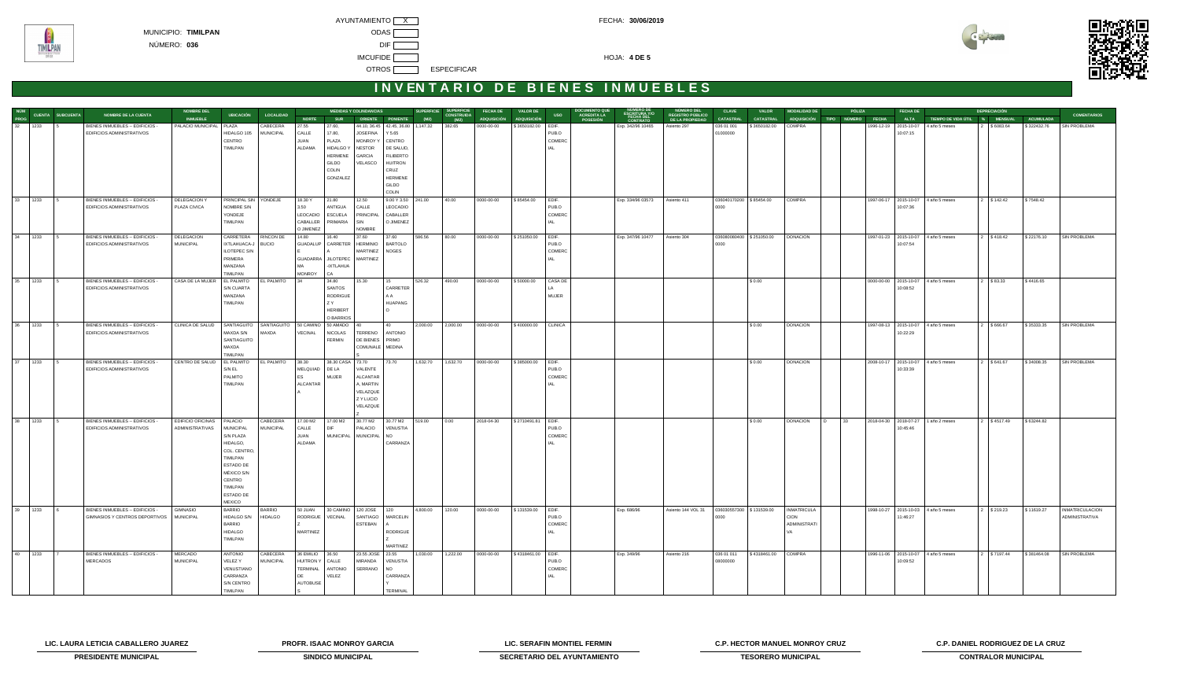

**TIMILPAN** 



# **INVENTARIO DE BIENES INMUEBLES**

|               |                                                                   | <b>NOMBRE DEL</b>                                              |                                     |                                 |                             |                                                                  | <b>MEDIDAS Y COLINDANCIAS</b>    |                       | <b>SUPERFICIE</b>                          |                                           | <b>FECHA DE</b>         | <b>VALOR DE</b>     |                 |                                                                                                          |                                                   | <b>CLAVE</b>              | <b>VALOR</b>             | <b>MODALIDAD DE</b>               |      | <b>PÓLIZA</b> | <b>FECHA DE</b> |                                                                 | <b>DEPRECIACIÓN</b> |                          |                                                 |
|---------------|-------------------------------------------------------------------|----------------------------------------------------------------|-------------------------------------|---------------------------------|-----------------------------|------------------------------------------------------------------|----------------------------------|-----------------------|--------------------------------------------|-------------------------------------------|-------------------------|---------------------|-----------------|----------------------------------------------------------------------------------------------------------|---------------------------------------------------|---------------------------|--------------------------|-----------------------------------|------|---------------|-----------------|-----------------------------------------------------------------|---------------------|--------------------------|-------------------------------------------------|
|               | NÚM<br>PROG CUENTA SUBCUENTA<br><b>NOMBRE DE LA CUENTA</b>        | <b>INMUEBLE</b>                                                |                                     | UBICACIÓN LOCALIDAD             | <b>NORTE</b>                | <b>SUR</b>                                                       |                                  | ORIENTE PONIENTE (M2) |                                            | <b>SUPERFICIE<br/>CONSTRUIDA<br/>(M2)</b> | ADQUISICIÓN ADQUISICIÓN |                     | <b>USO</b>      | NÚMERO DE<br>ESCRITURA Y/O<br>FECHA DEL<br>CONTRATO<br><b>DOCUMENTO QUE<br/>ACREDITA LA<br/>POSESIÓN</b> | NÚMERO DEL<br>REGISTRO PÚBLICO<br>DE LA PROPIEDAD | <b>CATASTRAL</b>          | <b>CATASTRAL</b>         |                                   |      |               |                 | ADQUISICIÓN TIPO NÚMERO FECHA ALTA TIEMPODE VIDA ÚTIL % MENSUAL |                     | <b>ACUMULADA</b>         | <b>COMENTARIOS</b>                              |
| 32   1233   5 | BIENES INMUEBLES -- EDIFICIOS -                                   | PALACIO MUNICIPAL   PLAZA                                      |                                     | CABECERA                        | 27.55                       | 27.60,                                                           |                                  |                       | 44.10, 36.45 42.45, 36.80 1, 147.32 382.65 |                                           | 0000-00-00              | \$3650182.00 EDIF.  |                 | Exp. 342/96 10465   Asiento 297                                                                          |                                                   | 036 01 001                | \$3650182.00 COMPRA      |                                   |      |               |                 | 1996-12-19 2015-10-07 4 año 5 meses                             | 2 \$6083.64         | \$322432.76              | SIN PROBLEMA                                    |
|               | EDIFICIOS ADMINISTRATIVOS                                         |                                                                | HIDALGO 105<br>CENTRO               | <b>MUNICIPAL</b>                | CALLE                       | 17.80,                                                           | <b>JOSEFINA</b>                  | Y 5.65                |                                            |                                           |                         |                     | PUB.O<br>COMERC |                                                                                                          |                                                   | 01000000                  |                          |                                   |      |               | 10:07:15        |                                                                 |                     |                          |                                                 |
|               |                                                                   |                                                                | TIMILPAN                            |                                 | JUAN<br>ALDAMA              | PLAZA<br><b>HIDALGO Y</b>                                        | MONROY Y CENTRO<br><b>NESTOR</b> | DE SALUD,             |                                            |                                           |                         |                     |                 |                                                                                                          |                                                   |                           |                          |                                   |      |               |                 |                                                                 |                     |                          |                                                 |
|               |                                                                   |                                                                |                                     |                                 |                             | <b>HERMENE</b>                                                   | <b>GARCIA</b>                    | <b>FILIBERTO</b>      |                                            |                                           |                         |                     |                 |                                                                                                          |                                                   |                           |                          |                                   |      |               |                 |                                                                 |                     |                          |                                                 |
|               |                                                                   |                                                                |                                     |                                 |                             | <b>GILDO</b>                                                     | VELASCO                          | <b>HUITRON</b>        |                                            |                                           |                         |                     |                 |                                                                                                          |                                                   |                           |                          |                                   |      |               |                 |                                                                 |                     |                          |                                                 |
|               |                                                                   |                                                                |                                     |                                 |                             | <b>COLIN</b>                                                     |                                  | CRUZ                  |                                            |                                           |                         |                     |                 |                                                                                                          |                                                   |                           |                          |                                   |      |               |                 |                                                                 |                     |                          |                                                 |
|               |                                                                   |                                                                |                                     |                                 |                             | GONZALEZ                                                         |                                  | HERMENE               |                                            |                                           |                         |                     |                 |                                                                                                          |                                                   |                           |                          |                                   |      |               |                 |                                                                 |                     |                          |                                                 |
|               |                                                                   |                                                                |                                     |                                 |                             |                                                                  |                                  | GILDO                 |                                            |                                           |                         |                     |                 |                                                                                                          |                                                   |                           |                          |                                   |      |               |                 |                                                                 |                     |                          |                                                 |
|               |                                                                   |                                                                |                                     |                                 |                             |                                                                  |                                  | <b>COLIN</b>          |                                            |                                           |                         |                     |                 |                                                                                                          |                                                   |                           |                          |                                   |      |               |                 |                                                                 |                     |                          |                                                 |
| 33 1233 5     | BIENES INMUEBLES -- EDIFICIOS -<br>EDIFICIOS ADMINISTRATIVOS      | <b>DELEGACION Y</b><br>PLAZA CIVICA                            | PRINCIPAL SIN YONDEJE<br>NOMBRE S/N |                                 | 18.30 Y<br>3.50             | 21.80<br>ANTIGUA                                                 | 12.50<br>CALLE                   | LEOCADIO              | $9.00 \text{ Y } 3.50$ 241.00 40.00        |                                           | 0000-00-00              | \$85454.00 EDIF.    | PUB.O           | Exp. 334/96 03573 Asiento 411                                                                            |                                                   | 036040170200   \$85454.00 |                          | <b>COMPRA</b>                     |      |               | 10:07:36        | 1997-06-17 2015-10-07 4 año 5 meses                             | 2 \$142.42          | \$7548.42                |                                                 |
|               |                                                                   |                                                                | YONDEJE                             |                                 |                             | LEOCADIO ESCUELA PRINCIPAL CABALLER                              |                                  |                       |                                            |                                           |                         |                     | COMERC          |                                                                                                          |                                                   | 0000                      |                          |                                   |      |               |                 |                                                                 |                     |                          |                                                 |
|               |                                                                   |                                                                | TIMILPAN                            |                                 | CABALLER                    | PRIMARIA SIN                                                     |                                  | O JIMENEZ             |                                            |                                           |                         |                     |                 |                                                                                                          |                                                   |                           |                          |                                   |      |               |                 |                                                                 |                     |                          |                                                 |
|               |                                                                   |                                                                |                                     |                                 | O JIMENEZ                   |                                                                  | <b>NOMBRE</b>                    |                       |                                            |                                           |                         |                     |                 |                                                                                                          |                                                   |                           |                          |                                   |      |               |                 |                                                                 |                     |                          |                                                 |
| 34 1233 5     | BIENES INMUEBLES -- EDIFICIOS -                                   | DELEGACION                                                     | CARRETERA RINCON DE                 |                                 | 14.80                       | 16.40                                                            | 37.60                            | 37.60                 | 586.56 80.00                               |                                           | 0000-00-00              | \$251050.00 EDIF.   |                 | Exp. 347/96 10477 Asiento 304                                                                            |                                                   |                           | 036080080400 \$251050.00 | <b>DONACION</b>                   |      |               |                 | 1997-01-23 2015-10-07 4 año 5 meses                             | 2 \$418.42          | \$22176.10               | <b>TSIN PROBLEMA</b>                            |
|               | EDIFICIOS ADMINISTRATIVOS                                         | <b>MUNICIPAL</b>                                               | IXTLAHUACA-J                        | <b>BUCIO</b>                    |                             | GUADALUP CARRETER HERMINIO BARTOLO                               |                                  |                       |                                            |                                           |                         |                     | PUB.O           |                                                                                                          |                                                   | 0000                      |                          |                                   |      |               | 10:07:54        |                                                                 |                     |                          |                                                 |
|               |                                                                   |                                                                | ILOTEPEC S/N                        |                                 |                             |                                                                  | MARTINEZ   NOGES                 |                       |                                            |                                           |                         |                     | COMERC          |                                                                                                          |                                                   |                           |                          |                                   |      |               |                 |                                                                 |                     |                          |                                                 |
|               |                                                                   |                                                                | PRIMERA<br>MANZANA                  |                                 | <b>MA</b>                   | GUADARRA JILOTEPEC MARTINEZ<br>-IXTLAHUA                         |                                  |                       |                                            |                                           |                         |                     |                 |                                                                                                          |                                                   |                           |                          |                                   |      |               |                 |                                                                 |                     |                          |                                                 |
|               |                                                                   |                                                                | TIMILPAN                            |                                 | <b>MONROY</b>               | <b>CA</b>                                                        |                                  |                       |                                            |                                           |                         |                     |                 |                                                                                                          |                                                   |                           |                          |                                   |      |               |                 |                                                                 |                     |                          |                                                 |
| $35$ 1233 5   | BIENES INMUEBLES -- EDIFICIOS -                                   | CASA DE LA MUJER                                               | <b>EL PALMITO</b>                   | EL PALMITO 34                   |                             | 34.80 15.30                                                      |                                  | 15                    | 526.32 490.00                              |                                           | 0000-00-00              | \$50000.00          | CASA DE         |                                                                                                          |                                                   |                           | \$0.00                   |                                   |      |               |                 | 0000-00-00 2015-10-07 4 año 5 meses                             | 2 \$83.33           | \$4416.65                |                                                 |
|               | EDIFICIOS ADMINISTRATIVOS                                         |                                                                | S/N CUARTA                          |                                 |                             | <b>SANTOS</b>                                                    |                                  | CARRETER              |                                            |                                           |                         |                     |                 |                                                                                                          |                                                   |                           |                          |                                   |      |               | 10:08:52        |                                                                 |                     |                          |                                                 |
|               |                                                                   |                                                                | MANZANA                             |                                 |                             | RODRIGUE                                                         |                                  | l A A                 |                                            |                                           |                         |                     | MUJER           |                                                                                                          |                                                   |                           |                          |                                   |      |               |                 |                                                                 |                     |                          |                                                 |
|               |                                                                   |                                                                | TIMILPAN                            |                                 |                             | Z Y                                                              |                                  | HUAPANG               |                                            |                                           |                         |                     |                 |                                                                                                          |                                                   |                           |                          |                                   |      |               |                 |                                                                 |                     |                          |                                                 |
|               |                                                                   |                                                                |                                     |                                 |                             | HERIBERT<br>O BARRIOS                                            |                                  |                       |                                            |                                           |                         |                     |                 |                                                                                                          |                                                   |                           |                          |                                   |      |               |                 |                                                                 |                     |                          |                                                 |
| 36 1233 5     | BIENES INMUEBLES -- EDIFICIOS -                                   | CLINICA DE SALUD SANTIAGUITO SANTIAGUITO 50 CAMINO 50 AMADO 40 |                                     |                                 |                             |                                                                  |                                  | 40                    | 2,000.00 2,000.00                          |                                           | 0000-00-00              | \$400000.00 CLINICA |                 |                                                                                                          |                                                   |                           | \$0.00                   | <b>DONACION</b>                   |      |               |                 | 1997-08-13 2015-10-07 4 año 5 meses                             | 2 \$666.67          | \$35333.35               | SIN PROBLEMA                                    |
|               | EDIFICIOS ADMINISTRATIVOS                                         |                                                                | MAXDA S/N                           | MAXDA                           | VECINAL                     | NICOLAS TERRENO ANTONIO                                          |                                  |                       |                                            |                                           |                         |                     |                 |                                                                                                          |                                                   |                           |                          |                                   |      |               | 10:22:29        |                                                                 |                     |                          |                                                 |
|               |                                                                   |                                                                | SANTIAGUITO                         |                                 |                             | <b>FERMIN</b>                                                    | DE BIENES PRIMO                  |                       |                                            |                                           |                         |                     |                 |                                                                                                          |                                                   |                           |                          |                                   |      |               |                 |                                                                 |                     |                          |                                                 |
|               |                                                                   |                                                                | MAXDA                               |                                 |                             |                                                                  | COMUNALE MEDINA                  |                       |                                            |                                           |                         |                     |                 |                                                                                                          |                                                   |                           |                          |                                   |      |               |                 |                                                                 |                     |                          |                                                 |
|               |                                                                   |                                                                | TIMILPAN                            |                                 |                             |                                                                  |                                  |                       |                                            |                                           |                         |                     |                 |                                                                                                          |                                                   |                           |                          |                                   |      |               |                 |                                                                 |                     |                          |                                                 |
| 37 1233 5     | BIENES INMUEBLES -- EDIFICIOS -<br>EDIFICIOS ADMINISTRATIVOS      | CENTRO DE SALUD EL PALMITO EL PALMITO 38.30                    | S/N EL                              |                                 | MELQUIAD DE LA              | 38.30 CASA 73.70                                                 | VALENTE                          | 73.70                 |                                            | 1,632.70  1,632.70  0000-00-00            |                         | \$385000.00 EDIF.   | PUB.O           |                                                                                                          |                                                   |                           | \$0.00                   | <b>DONACION</b>                   |      |               | 10:33:39        | 2008-10-17 2015-10-07 4 año 5 meses                             | 2 \$641.67          | \$34008.35               | SIN PROBLEMA                                    |
|               |                                                                   |                                                                | PALMITO                             |                                 | ES                          | <b>MUJER</b>                                                     | ALCANTAR                         |                       |                                            |                                           |                         |                     | COMERC          |                                                                                                          |                                                   |                           |                          |                                   |      |               |                 |                                                                 |                     |                          |                                                 |
|               |                                                                   |                                                                | TIMILPAN                            |                                 | ALCANTAR                    |                                                                  | A, MARTIN                        |                       |                                            |                                           |                         |                     |                 |                                                                                                          |                                                   |                           |                          |                                   |      |               |                 |                                                                 |                     |                          |                                                 |
|               |                                                                   |                                                                |                                     |                                 |                             |                                                                  | VELAZQUE                         |                       |                                            |                                           |                         |                     |                 |                                                                                                          |                                                   |                           |                          |                                   |      |               |                 |                                                                 |                     |                          |                                                 |
|               |                                                                   |                                                                |                                     |                                 |                             |                                                                  | Z Y LUCIO                        |                       |                                            |                                           |                         |                     |                 |                                                                                                          |                                                   |                           |                          |                                   |      |               |                 |                                                                 |                     |                          |                                                 |
|               |                                                                   |                                                                |                                     |                                 |                             |                                                                  | VELAZQUE                         |                       |                                            |                                           |                         |                     |                 |                                                                                                          |                                                   |                           |                          |                                   |      |               |                 |                                                                 |                     |                          |                                                 |
| 38 1233       | BIENES INMUEBLES -- EDIFICIOS -<br>$\overline{5}$                 | EDIFICIO OFICINAS   PALACIO                                    |                                     | CABECERA                        | 17.00 M2                    | 17.00 M2                                                         |                                  |                       | 30.77 M2 30.77 M2 519.00 0.00              |                                           | 2018-04-30              | \$2710491.81 EDIF.  |                 |                                                                                                          |                                                   |                           | \$0.00                   | <b>DONACION</b>                   | D 33 |               |                 | 2018-04-30 2018-07-27 1 año 2 meses                             | 2 \$4517.49         | \$63244.82               |                                                 |
|               | EDIFICIOS ADMINISTRATIVOS                                         | ADMINISTRATIVAS   MUNICIPAL                                    |                                     | <b>MUNICIPAL</b>                | CALLE                       | <b>DIF</b>                                                       | PALACIO VENUSTIA                 |                       |                                            |                                           |                         |                     | PUB.O           |                                                                                                          |                                                   |                           |                          |                                   |      |               | 10:45:46        |                                                                 |                     |                          |                                                 |
|               |                                                                   |                                                                | S/N PLAZA                           |                                 | JUAN                        |                                                                  | MUNICIPAL MUNICIPAL NO           |                       |                                            |                                           |                         |                     | COMERC          |                                                                                                          |                                                   |                           |                          |                                   |      |               |                 |                                                                 |                     |                          |                                                 |
|               |                                                                   |                                                                | HIDALGO,                            |                                 | ALDAMA                      |                                                                  |                                  | CARRANZA              |                                            |                                           |                         |                     |                 |                                                                                                          |                                                   |                           |                          |                                   |      |               |                 |                                                                 |                     |                          |                                                 |
|               |                                                                   |                                                                | COL. CENTRO,                        |                                 |                             |                                                                  |                                  |                       |                                            |                                           |                         |                     |                 |                                                                                                          |                                                   |                           |                          |                                   |      |               |                 |                                                                 |                     |                          |                                                 |
|               |                                                                   |                                                                | TIMILPAN                            |                                 |                             |                                                                  |                                  |                       |                                            |                                           |                         |                     |                 |                                                                                                          |                                                   |                           |                          |                                   |      |               |                 |                                                                 |                     |                          |                                                 |
|               |                                                                   |                                                                | ESTADO DE<br>MÉXICO S/N             |                                 |                             |                                                                  |                                  |                       |                                            |                                           |                         |                     |                 |                                                                                                          |                                                   |                           |                          |                                   |      |               |                 |                                                                 |                     |                          |                                                 |
|               |                                                                   |                                                                | CENTRO                              |                                 |                             |                                                                  |                                  |                       |                                            |                                           |                         |                     |                 |                                                                                                          |                                                   |                           |                          |                                   |      |               |                 |                                                                 |                     |                          |                                                 |
|               |                                                                   |                                                                | TIMILPAN                            |                                 |                             |                                                                  |                                  |                       |                                            |                                           |                         |                     |                 |                                                                                                          |                                                   |                           |                          |                                   |      |               |                 |                                                                 |                     |                          |                                                 |
|               |                                                                   |                                                                | <b>ESTADO DE</b>                    |                                 |                             |                                                                  |                                  |                       |                                            |                                           |                         |                     |                 |                                                                                                          |                                                   |                           |                          |                                   |      |               |                 |                                                                 |                     |                          |                                                 |
|               |                                                                   |                                                                | MEXICO                              |                                 |                             |                                                                  |                                  |                       |                                            |                                           |                         |                     |                 |                                                                                                          |                                                   |                           |                          |                                   |      |               |                 |                                                                 |                     |                          |                                                 |
| 39 1233       | BIENES INMUEBLES -- EDIFICIOS -<br>GIMNASIOS Y CENTROS DEPORTIVOS | GIMNASIO<br><b>MUNICIPAL</b>                                   | <b>BARRIO</b><br>HIDALGO S/N        | <b>BARRIO</b><br><b>HIDALGO</b> | 50 JUAN                     | 30 CAMINO   120 JOSE   120<br>RODRIGUE VECINAL SANTIAGO MARCELIN |                                  |                       | 4,800.00                                   | 120.00                                    | 0000-00-00              | \$131539.00         | EDIF.<br>PUB.O  | Exp. 686/96                                                                                              | Asiento 144 VOL 31                                | 0000                      | 036030557300 \$131539.00 | <b>INMATRICULA</b><br><b>CION</b> |      |               | 11:46:27        | 1998-10-27 2015-10-03 4 año 5 meses                             | 2 \$219.23          | \$11619.27               | <b>INMATRICULACION</b><br><b>ADMINISTRATIVA</b> |
|               |                                                                   |                                                                | <b>BARRIO</b>                       |                                 |                             |                                                                  | ESTEBAN                          |                       |                                            |                                           |                         |                     | COMERC          |                                                                                                          |                                                   |                           |                          | <b>ADMINISTRATI</b>               |      |               |                 |                                                                 |                     |                          |                                                 |
|               |                                                                   |                                                                | HIDALGO                             |                                 | MARTINEZ                    |                                                                  |                                  | RODRIGUE              |                                            |                                           |                         |                     |                 |                                                                                                          |                                                   |                           |                          |                                   |      |               |                 |                                                                 |                     |                          |                                                 |
|               |                                                                   |                                                                | TIMILPAN                            |                                 |                             |                                                                  |                                  |                       |                                            |                                           |                         |                     |                 |                                                                                                          |                                                   |                           |                          |                                   |      |               |                 |                                                                 |                     |                          |                                                 |
|               |                                                                   |                                                                |                                     |                                 |                             |                                                                  |                                  | MARTINEZ              |                                            |                                           |                         |                     |                 |                                                                                                          |                                                   |                           |                          |                                   |      |               |                 |                                                                 |                     |                          |                                                 |
| 40 1233       | BIENES INMUEBLES -- EDIFICIOS -                                   | MERCADO                                                        | ANTONIO                             | CABECERA                        | 36 EMILIO 36.50             |                                                                  | 23.55 JOSE 23.55                 |                       | 1,030.00                                   | 1,222.00                                  | 0000-00-00              | \$4318461.00 EDIF.  |                 | Exp. 349/96                                                                                              | Asiento 216                                       | 036 01 011                | \$4318461.00 COMPRA      |                                   |      |               |                 | 1996-11-06 2015-10-07 4 año 5 meses                             | 2 \$7197.44         | \$381464.08 SIN PROBLEMA |                                                 |
|               | <b>MERCADOS</b>                                                   | <b>MUNICIPAL</b>                                               | VELEZ Y<br>VENUSTIANO               | MUNICIPAL                       | HUITRON Y CALLE<br>TERMINAL | <b>ANTONIO</b>                                                   | <b>MIRANDA</b><br>SERRANO        | VENUSTIA<br>I NO      |                                            |                                           |                         |                     | PUB.O<br>COMERC |                                                                                                          |                                                   | 08000000                  |                          |                                   |      |               | 10:09:52        |                                                                 |                     |                          |                                                 |
|               |                                                                   |                                                                | CARRANZA                            |                                 | DE                          | VELEZ                                                            |                                  | CARRANZA              |                                            |                                           |                         |                     |                 |                                                                                                          |                                                   |                           |                          |                                   |      |               |                 |                                                                 |                     |                          |                                                 |
|               |                                                                   |                                                                | S/N CENTRO                          |                                 | <b>AUTOBUSE</b>             |                                                                  |                                  |                       |                                            |                                           |                         |                     |                 |                                                                                                          |                                                   |                           |                          |                                   |      |               |                 |                                                                 |                     |                          |                                                 |
|               |                                                                   |                                                                | TIMILPAN                            |                                 |                             |                                                                  |                                  | <b>TERMINAL</b>       |                                            |                                           |                         |                     |                 |                                                                                                          |                                                   |                           |                          |                                   |      |               |                 |                                                                 |                     |                          |                                                 |

**LIC. LAURA LETICIA CABALLERO JUAREZ PROFR. ISAAC MONROY GARCIA LIC. SERAFIN MONTIEL FERMIN C.P. HECTOR MANUEL MONROY CRUZ C.P. DANIEL RODRIGUEZ DE LA CRUZ**